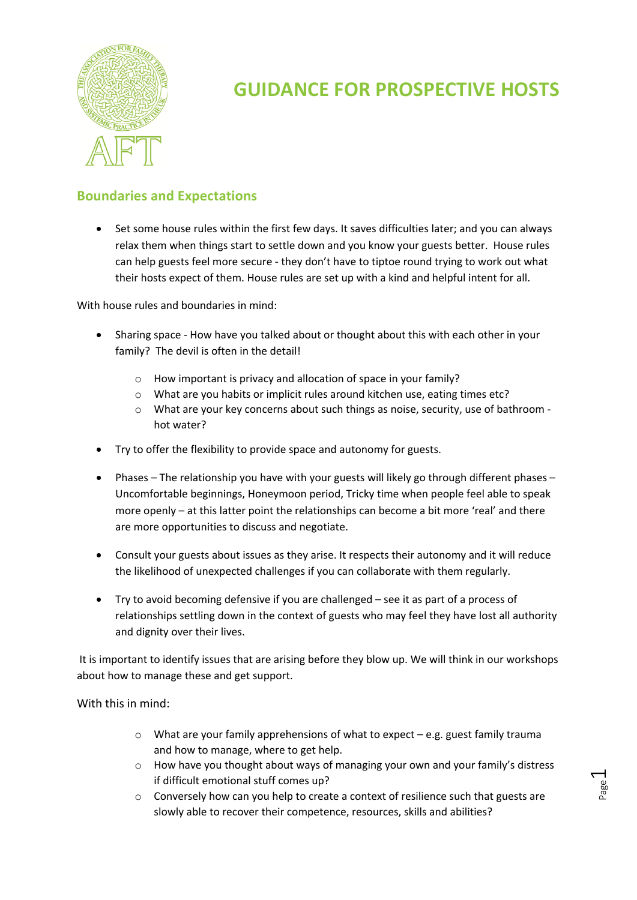

# **Boundaries and Expectations**

• Set some house rules within the first few days. It saves difficulties later; and you can always relax them when things start to settle down and you know your guests better. House rules can help guests feel more secure - they don't have to tiptoe round trying to work out what their hosts expect of them. House rules are set up with a kind and helpful intent for all.

With house rules and boundaries in mind:

- Sharing space How have you talked about or thought about this with each other in your family? The devil is often in the detail!
	- o How important is privacy and allocation of space in your family?
	- o What are you habits or implicit rules around kitchen use, eating times etc?
	- o What are your key concerns about such things as noise, security, use of bathroom hot water?
- Try to offer the flexibility to provide space and autonomy for guests.
- Phases The relationship you have with your guests will likely go through different phases Uncomfortable beginnings, Honeymoon period, Tricky time when people feel able to speak more openly – at this latter point the relationships can become a bit more 'real' and there are more opportunities to discuss and negotiate.
- Consult your guests about issues as they arise. It respects their autonomy and it will reduce the likelihood of unexpected challenges if you can collaborate with them regularly.
- Try to avoid becoming defensive if you are challenged see it as part of a process of relationships settling down in the context of guests who may feel they have lost all authority and dignity over their lives.

It is important to identify issues that are arising before they blow up. We will think in our workshops about how to manage these and get support.

With this in mind:

- $\circ$  What are your family apprehensions of what to expect e.g. guest family trauma and how to manage, where to get help.
- o How have you thought about ways of managing your own and your family's distress if difficult emotional stuff comes up?
- $\circ$  Conversely how can you help to create a context of resilience such that guests are slowly able to recover their competence, resources, skills and abilities?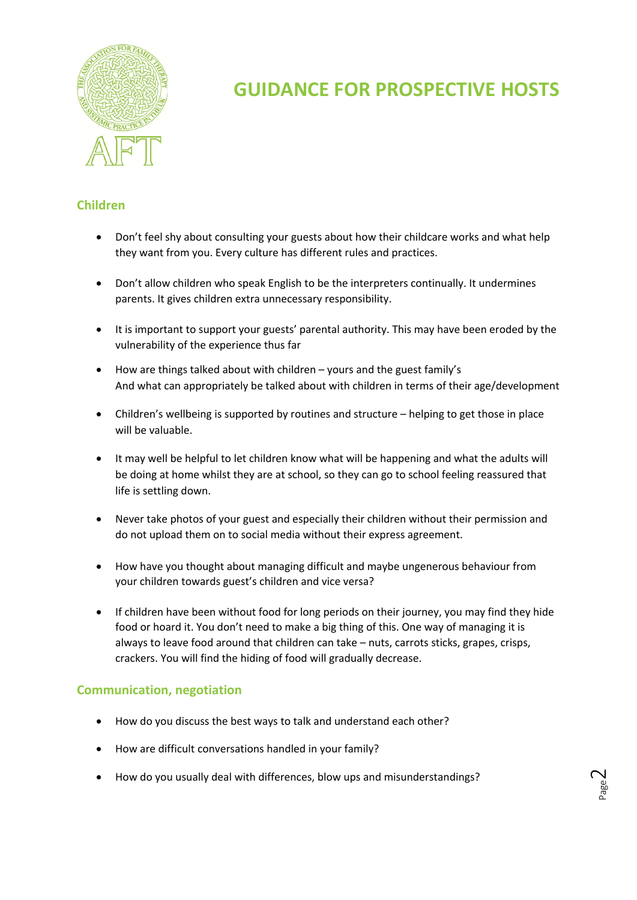

## **Children**

- Don't feel shy about consulting your guests about how their childcare works and what help they want from you. Every culture has different rules and practices.
- Don't allow children who speak English to be the interpreters continually. It undermines parents. It gives children extra unnecessary responsibility.
- It is important to support your guests' parental authority. This may have been eroded by the vulnerability of the experience thus far
- How are things talked about with children yours and the guest family's And what can appropriately be talked about with children in terms of their age/development
- Children's wellbeing is supported by routines and structure helping to get those in place will be valuable.
- It may well be helpful to let children know what will be happening and what the adults will be doing at home whilst they are at school, so they can go to school feeling reassured that life is settling down.
- Never take photos of your guest and especially their children without their permission and do not upload them on to social media without their express agreement.
- How have you thought about managing difficult and maybe ungenerous behaviour from your children towards guest's children and vice versa?
- If children have been without food for long periods on their journey, you may find they hide food or hoard it. You don't need to make a big thing of this. One way of managing it is always to leave food around that children can take – nuts, carrots sticks, grapes, crisps, crackers. You will find the hiding of food will gradually decrease.

## **Communication, negotiation**

- How do you discuss the best ways to talk and understand each other?
- How are difficult conversations handled in your family?
- How do you usually deal with differences, blow ups and misunderstandings?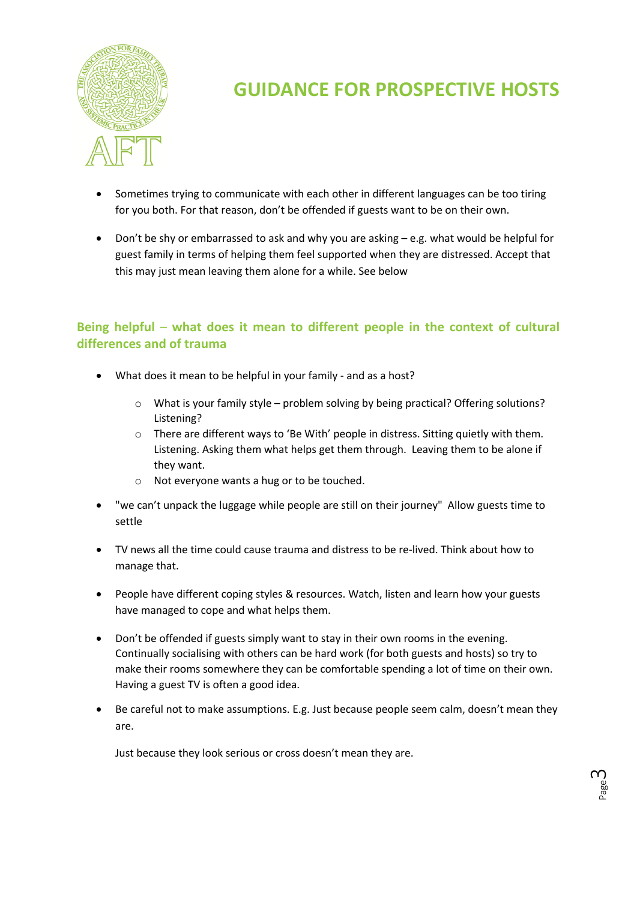

- Sometimes trying to communicate with each other in different languages can be too tiring for you both. For that reason, don't be offended if guests want to be on their own.
- Don't be shy or embarrassed to ask and why you are asking e.g. what would be helpful for guest family in terms of helping them feel supported when they are distressed. Accept that this may just mean leaving them alone for a while. See below

## **Being helpful** – **what does it mean to different people in the context of cultural differences and of trauma**

- What does it mean to be helpful in your family and as a host?
	- $\circ$  What is your family style problem solving by being practical? Offering solutions? Listening?
	- $\circ$  There are different ways to 'Be With' people in distress. Sitting quietly with them. Listening. Asking them what helps get them through. Leaving them to be alone if they want.
	- o Not everyone wants a hug or to be touched.
- "we can't unpack the luggage while people are still on their journey" Allow guests time to settle
- TV news all the time could cause trauma and distress to be re-lived. Think about how to manage that.
- People have different coping styles & resources. Watch, listen and learn how your guests have managed to cope and what helps them.
- Don't be offended if guests simply want to stay in their own rooms in the evening. Continually socialising with others can be hard work (for both guests and hosts) so try to make their rooms somewhere they can be comfortable spending a lot of time on their own. Having a guest TV is often a good idea.
- Be careful not to make assumptions. E.g. Just because people seem calm, doesn't mean they are.

Just because they look serious or cross doesn't mean they are.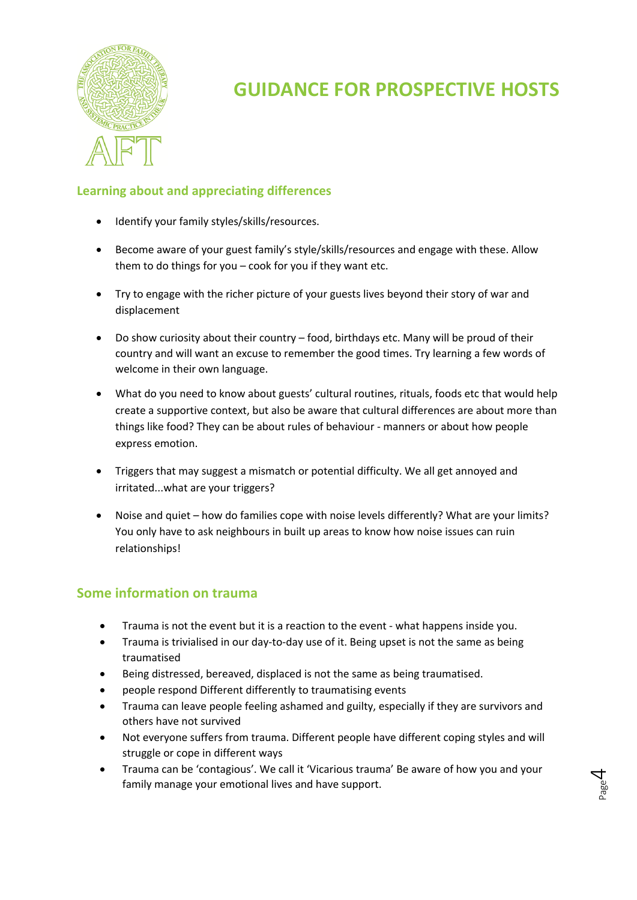

# **Learning about and appreciating differences**

- Identify your family styles/skills/resources.
- Become aware of your guest family's style/skills/resources and engage with these. Allow them to do things for you – cook for you if they want etc.
- Try to engage with the richer picture of your guests lives beyond their story of war and displacement
- Do show curiosity about their country food, birthdays etc. Many will be proud of their country and will want an excuse to remember the good times. Try learning a few words of welcome in their own language.
- What do you need to know about guests' cultural routines, rituals, foods etc that would help create a supportive context, but also be aware that cultural differences are about more than things like food? They can be about rules of behaviour - manners or about how people express emotion.
- Triggers that may suggest a mismatch or potential difficulty. We all get annoyed and irritated...what are your triggers?
- Noise and quiet how do families cope with noise levels differently? What are your limits? You only have to ask neighbours in built up areas to know how noise issues can ruin relationships!

## **Some information on trauma**

- Trauma is not the event but it is a reaction to the event what happens inside you.
- Trauma is trivialised in our day-to-day use of it. Being upset is not the same as being traumatised
- Being distressed, bereaved, displaced is not the same as being traumatised.
- people respond Different differently to traumatising events
- Trauma can leave people feeling ashamed and guilty, especially if they are survivors and others have not survived
- Not everyone suffers from trauma. Different people have different coping styles and will struggle or cope in different ways
- Trauma can be 'contagious'. We call it 'Vicarious trauma' Be aware of how you and your family manage your emotional lives and have support.

Page 4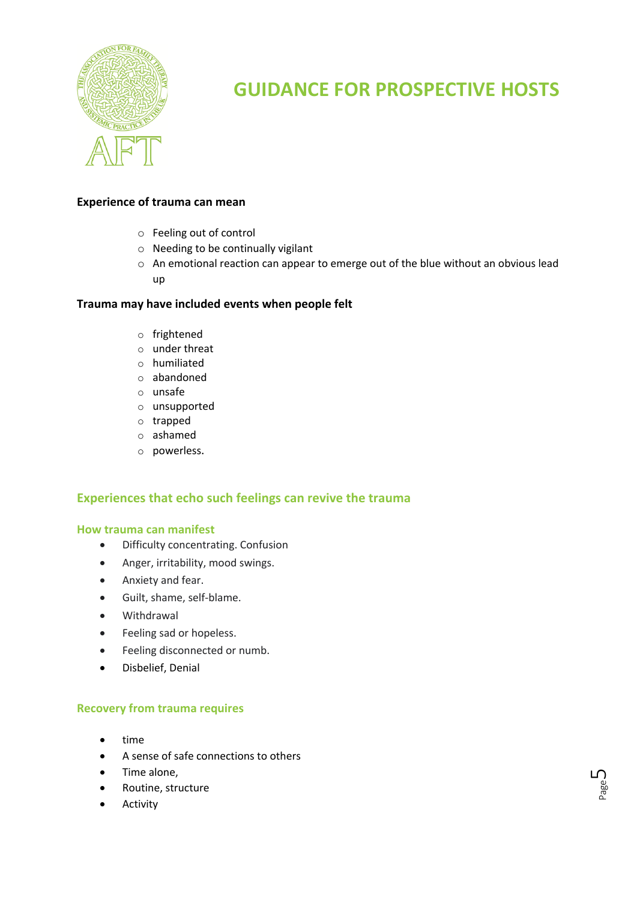

Page ப

#### **Experience of trauma can mean**

- o Feeling out of control
- o Needing to be continually vigilant
- o An emotional reaction can appear to emerge out of the blue without an obvious lead up

### **Trauma may have included events when people felt**

- o frightened
- o under threat
- o humiliated
- o abandoned
- o unsafe
- o unsupported
- o trapped
- o ashamed
- o powerless.

### **Experiences that echo such feelings can revive the trauma**

#### **How trauma can manifest**

- Difficulty concentrating. Confusion
- Anger, irritability, mood swings.
- Anxiety and fear.
- Guilt, shame, self-blame.
- Withdrawal
- Feeling sad or hopeless.
- Feeling disconnected or numb.
- Disbelief, Denial

#### **Recovery from trauma requires**

- time
- A sense of safe connections to others
- Time alone,
- Routine, structure
- **Activity**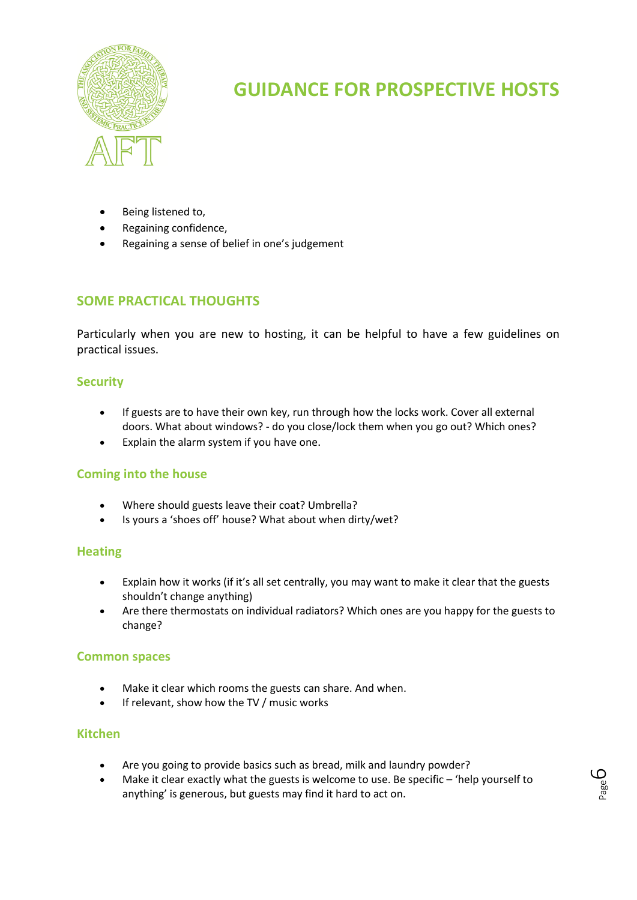

- Being listened to,
- Regaining confidence,
- Regaining a sense of belief in one's judgement

# **SOME PRACTICAL THOUGHTS**

Particularly when you are new to hosting, it can be helpful to have a few guidelines on practical issues.

### **Security**

- If guests are to have their own key, run through how the locks work. Cover all external doors. What about windows? - do you close/lock them when you go out? Which ones?
- Explain the alarm system if you have one.

## **Coming into the house**

- Where should guests leave their coat? Umbrella?
- Is yours a 'shoes off' house? What about when dirty/wet?

### **Heating**

- Explain how it works (if it's all set centrally, you may want to make it clear that the guests shouldn't change anything)
- Are there thermostats on individual radiators? Which ones are you happy for the guests to change?

### **Common spaces**

- Make it clear which rooms the guests can share. And when.
- If relevant, show how the TV / music works

## **Kitchen**

- Are you going to provide basics such as bread, milk and laundry powder?
- Make it clear exactly what the guests is welcome to use. Be specific 'help yourself to anything' is generous, but guests may find it hard to act on.